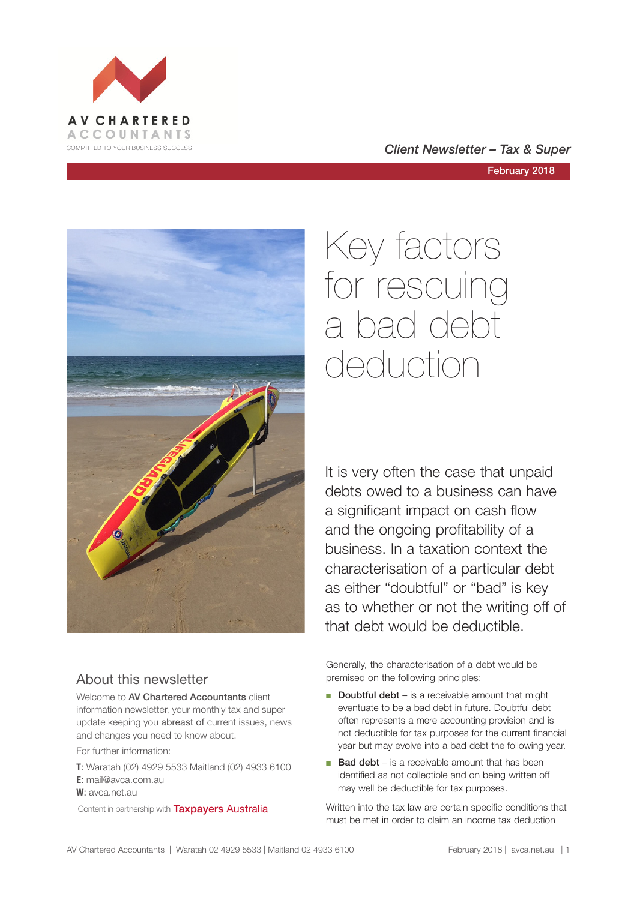

#### COMMITTED TO YOUR BUSINESS SUCCESS **COMMITTED TO YOUR BUSINESS SUCCESS**

February 2018



### About this newsletter

Welcome to AV Chartered Accountants client information newsletter, your monthly tax and super update keeping you abreast of current issues, news and changes you need to know about.

For further information:

**T**: Waratah (02) 4929 5533 Maitland (02) 4933 6100 **E**: mail@avca.com.au

**W**: avca.net.au

Content in partnership with **Taxpayers Australia** 

# Key factors for rescuing a bad debt deduction

It is very often the case that unpaid debts owed to a business can have a significant impact on cash flow and the ongoing profitability of a business. In a taxation context the characterisation of a particular debt as either "doubtful" or "bad" is key as to whether or not the writing off of that debt would be deductible.

Generally, the characterisation of a debt would be premised on the following principles:

- Doubtful debt is a receivable amount that might eventuate to be a bad debt in future. Doubtful debt often represents a mere accounting provision and is not deductible for tax purposes for the current financial year but may evolve into a bad debt the following year.
- Bad debt is a receivable amount that has been identified as not collectible and on being written off may well be deductible for tax purposes.

Written into the tax law are certain specific conditions that must be met in order to claim an income tax deduction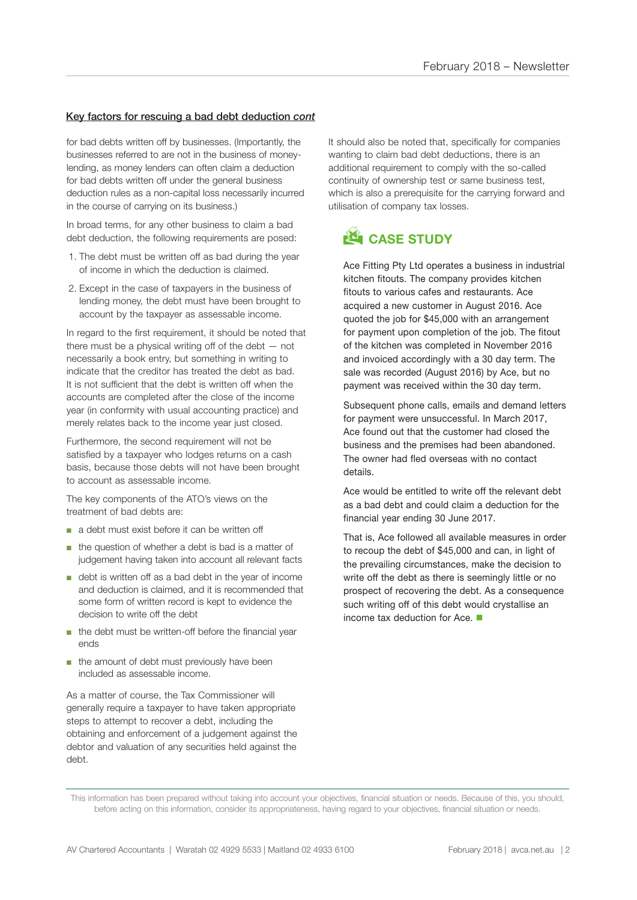#### Key factors for rescuing a bad debt deduction *cont*

for bad debts written off by businesses. (Importantly, the businesses referred to are not in the business of moneylending, as money lenders can often claim a deduction for bad debts written off under the general business deduction rules as a non-capital loss necessarily incurred in the course of carrying on its business.)

In broad terms, for any other business to claim a bad debt deduction, the following requirements are posed:

- 1. The debt must be written off as bad during the year of income in which the deduction is claimed.
- 2. Except in the case of taxpayers in the business of lending money, the debt must have been brought to account by the taxpayer as assessable income.

In regard to the first requirement, it should be noted that there must be a physical writing off of the debt — not necessarily a book entry, but something in writing to indicate that the creditor has treated the debt as bad. It is not sufficient that the debt is written off when the accounts are completed after the close of the income year (in conformity with usual accounting practice) and merely relates back to the income year just closed.

Furthermore, the second requirement will not be satisfied by a taxpayer who lodges returns on a cash basis, because those debts will not have been brought to account as assessable income.

The key components of the ATO's views on the treatment of bad debts are:

- a debt must exist before it can be written off
- the question of whether a debt is bad is a matter of judgement having taken into account all relevant facts
- debt is written off as a bad debt in the year of income and deduction is claimed, and it is recommended that some form of written record is kept to evidence the decision to write off the debt
- the debt must be written-off before the financial year ends
- the amount of debt must previously have been included as assessable income.

As a matter of course, the Tax Commissioner will generally require a taxpayer to have taken appropriate steps to attempt to recover a debt, including the obtaining and enforcement of a judgement against the debtor and valuation of any securities held against the debt.

It should also be noted that, specifically for companies wanting to claim bad debt deductions, there is an additional requirement to comply with the so-called continuity of ownership test or same business test, which is also a prerequisite for the carrying forward and utilisation of company tax losses.



Ace Fitting Pty Ltd operates a business in industrial kitchen fitouts. The company provides kitchen fitouts to various cafes and restaurants. Ace acquired a new customer in August 2016. Ace quoted the job for \$45,000 with an arrangement for payment upon completion of the job. The fitout of the kitchen was completed in November 2016 and invoiced accordingly with a 30 day term. The sale was recorded (August 2016) by Ace, but no payment was received within the 30 day term.

Subsequent phone calls, emails and demand letters for payment were unsuccessful. In March 2017, Ace found out that the customer had closed the business and the premises had been abandoned. The owner had fled overseas with no contact details.

Ace would be entitled to write off the relevant debt as a bad debt and could claim a deduction for the financial year ending 30 June 2017.

That is, Ace followed all available measures in order to recoup the debt of \$45,000 and can, in light of the prevailing circumstances, make the decision to write off the debt as there is seemingly little or no prospect of recovering the debt. As a consequence such writing off of this debt would crystallise an income tax deduction for Ace.  $\blacksquare$ 

This information has been prepared without taking into account your objectives, financial situation or needs. Because of this, you should, before acting on this information, consider its appropriateness, having regard to your objectives, financial situation or needs.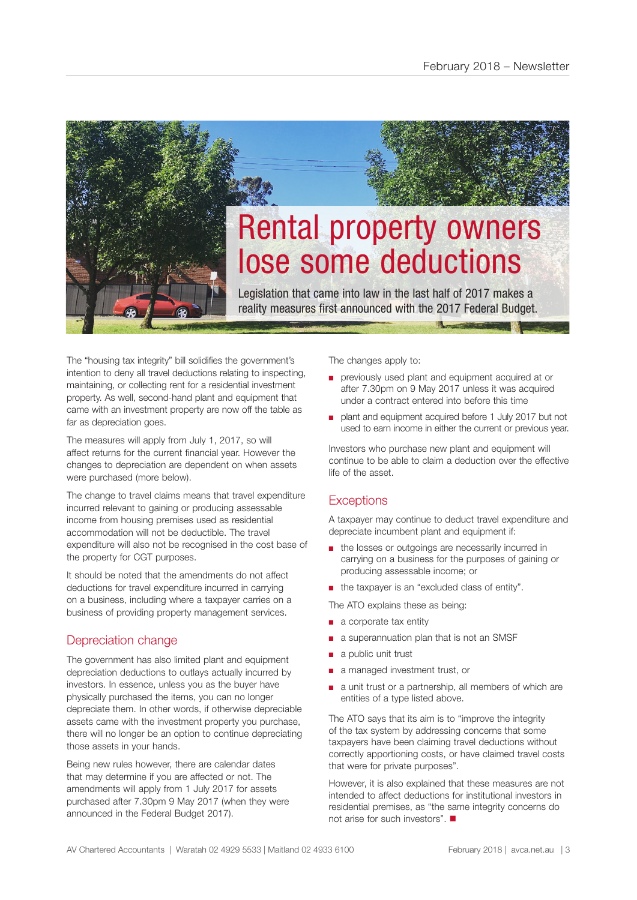

The "housing tax integrity" bill solidifies the government's intention to deny all travel deductions relating to inspecting, maintaining, or collecting rent for a residential investment property. As well, second-hand plant and equipment that came with an investment property are now off the table as far as depreciation goes.

The measures will apply from July 1, 2017, so will affect returns for the current financial year. However the changes to depreciation are dependent on when assets were purchased (more below).

The change to travel claims means that travel expenditure incurred relevant to gaining or producing assessable income from housing premises used as residential accommodation will not be deductible. The travel expenditure will also not be recognised in the cost base of the property for CGT purposes.

It should be noted that the amendments do not affect deductions for travel expenditure incurred in carrying on a business, including where a taxpayer carries on a business of providing property management services.

#### Depreciation change

The government has also limited plant and equipment depreciation deductions to outlays actually incurred by investors. In essence, unless you as the buyer have physically purchased the items, you can no longer depreciate them. In other words, if otherwise depreciable assets came with the investment property you purchase, there will no longer be an option to continue depreciating those assets in your hands.

Being new rules however, there are calendar dates that may determine if you are affected or not. The amendments will apply from 1 July 2017 for assets purchased after 7.30pm 9 May 2017 (when they were announced in the Federal Budget 2017).

The changes apply to:

- previously used plant and equipment acquired at or after 7.30pm on 9 May 2017 unless it was acquired under a contract entered into before this time
- plant and equipment acquired before 1 July 2017 but not used to earn income in either the current or previous year.

Investors who purchase new plant and equipment will continue to be able to claim a deduction over the effective life of the asset.

#### **Exceptions**

A taxpayer may continue to deduct travel expenditure and depreciate incumbent plant and equipment if:

- the losses or outgoings are necessarily incurred in carrying on a business for the purposes of gaining or producing assessable income; or
- the taxpayer is an "excluded class of entity".

The ATO explains these as being:

- a corporate tax entity
- a superannuation plan that is not an SMSF
- a public unit trust
- a managed investment trust, or
- a unit trust or a partnership, all members of which are entities of a type listed above.

The ATO says that its aim is to "improve the integrity of the tax system by addressing concerns that some taxpayers have been claiming travel deductions without correctly apportioning costs, or have claimed travel costs that were for private purposes".

However, it is also explained that these measures are not intended to affect deductions for institutional investors in residential premises, as "the same integrity concerns do not arise for such investors".  $\blacksquare$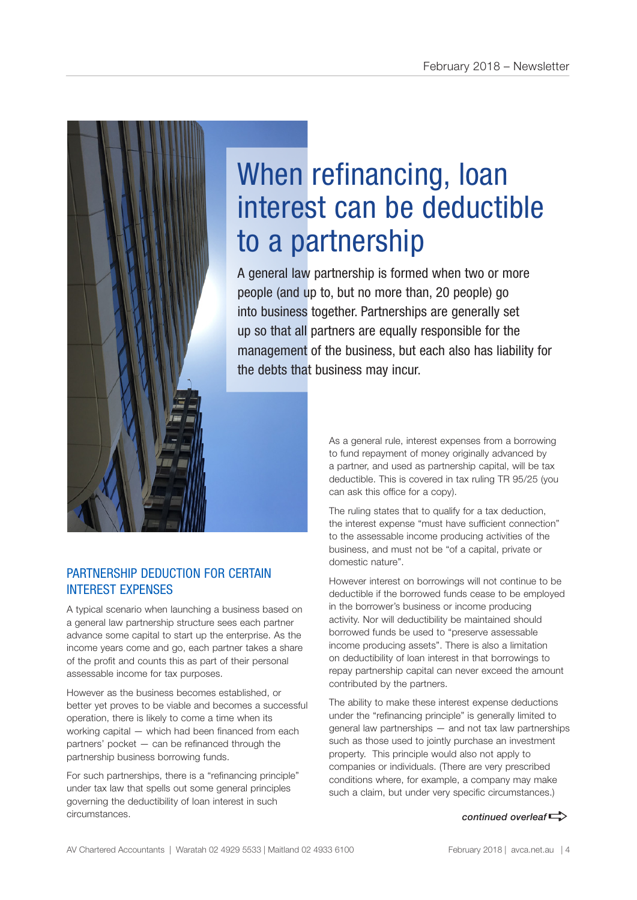

## When refinancing, loan interest can be deductible to a partnership

A general law partnership is formed when two or more people (and up to, but no more than, 20 people) go into business together. Partnerships are generally set up so that all partners are equally responsible for the management of the business, but each also has liability for the debts that business may incur.

> As a general rule, interest expenses from a borrowing to fund repayment of money originally advanced by a partner, and used as partnership capital, will be tax deductible. This is covered in tax ruling TR 95/25 (you can ask this office for a copy).

> The ruling states that to qualify for a tax deduction, the interest expense "must have sufficient connection" to the assessable income producing activities of the business, and must not be "of a capital, private or domestic nature".

However interest on borrowings will not continue to be deductible if the borrowed funds cease to be employed in the borrower's business or income producing activity. Nor will deductibility be maintained should borrowed funds be used to "preserve assessable income producing assets". There is also a limitation on deductibility of loan interest in that borrowings to repay partnership capital can never exceed the amount contributed by the partners.

The ability to make these interest expense deductions under the "refinancing principle" is generally limited to general law partnerships — and not tax law partnerships such as those used to jointly purchase an investment property. This principle would also not apply to companies or individuals. (There are very prescribed conditions where, for example, a company may make such a claim, but under very specific circumstances.)

*continued overleaf* $\Rightarrow$ 

#### PARTNERSHIP DEDUCTION FOR CERTAIN INTEREST EXPENSES

A typical scenario when launching a business based on a general law partnership structure sees each partner advance some capital to start up the enterprise. As the income years come and go, each partner takes a share of the profit and counts this as part of their personal assessable income for tax purposes.

However as the business becomes established, or better yet proves to be viable and becomes a successful operation, there is likely to come a time when its working capital — which had been financed from each partners' pocket — can be refinanced through the partnership business borrowing funds.

For such partnerships, there is a "refinancing principle" under tax law that spells out some general principles governing the deductibility of loan interest in such circumstances.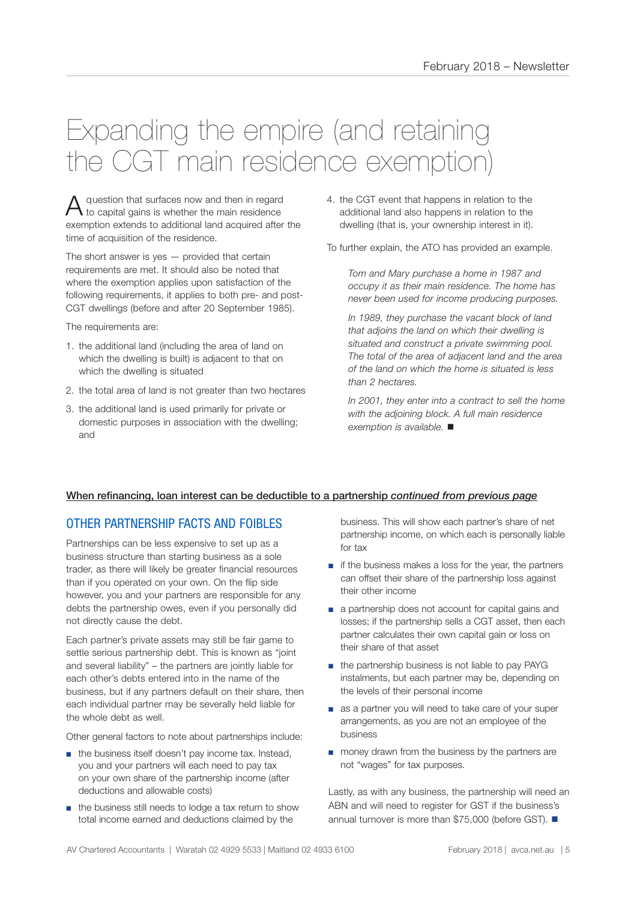## Expanding the empire (and retaining the CGT main residence exemption)

A question that surfaces now and then in regard to capital gains is whether the main residence exemption extends to additional land acquired after the time of acquisition of the residence.

The short answer is yes  $-$  provided that certain requirements are met. It should also be noted that where the exemption applies upon satisfaction of the following requirements, it applies to both pre- and post-CGT dwellings (before and after 20 September 1985).

The requirements are:

- 1. the additional land (including the area of land on which the dwelling is built) is adjacent to that on which the dwelling is situated
- 2. the total area of land is not greater than two hectares
- 3. the additional land is used primarily for private or domestic purposes in association with the dwelling; and

4. the CGT event that happens in relation to the additional land also happens in relation to the dwelling (that is, your ownership interest in it).

To further explain, the ATO has provided an example.

*Tom and Mary purchase a home in 1987 and occupy it as their main residence. The home has never been used for income producing purposes.*

*In 1989, they purchase the vacant block of land that adjoins the land on which their dwelling is situated and construct a private swimming pool. The total of the area of adjacent land and the area of the land on which the home is situated is less than 2 hectares.* 

*In 2001, they enter into a contract to sell the home with the adjoining block. A full main residence exemption is available.* ■

#### When refinancing, loan interest can be deductible to a partnership *continued from previous page*

### OTHER PARTNERSHIP FACTS AND FOIBLES

Partnerships can be less expensive to set up as a business structure than starting business as a sole trader, as there will likely be greater financial resources than if you operated on your own. On the flip side however, you and your partners are responsible for any debts the partnership owes, even if you personally did not directly cause the debt.

Each partner's private assets may still be fair game to settle serious partnership debt. This is known as "joint and several liability" – the partners are jointly liable for each other's debts entered into in the name of the business, but if any partners default on their share, then each individual partner may be severally held liable for the whole debt as well.

Other general factors to note about partnerships include:

- the business itself doesn't pay income tax, Instead, you and your partners will each need to pay tax on your own share of the partnership income (after deductions and allowable costs)
- the business still needs to lodge a tax return to show total income earned and deductions claimed by the

business. This will show each partner's share of net partnership income, on which each is personally liable for tax

- if the business makes a loss for the year, the partners can offset their share of the partnership loss against their other income
- a partnership does not account for capital gains and losses; if the partnership sells a CGT asset, then each partner calculates their own capital gain or loss on their share of that asset
- the partnership business is not liable to pay PAYG instalments, but each partner may be, depending on the levels of their personal income
- as a partner you will need to take care of your super arrangements, as you are not an employee of the business
- money drawn from the business by the partners are not "wages" for tax purposes.

Lastly, as with any business, the partnership will need an ABN and will need to register for GST if the business's annual turnover is more than \$75,000 (before GST).  $\blacksquare$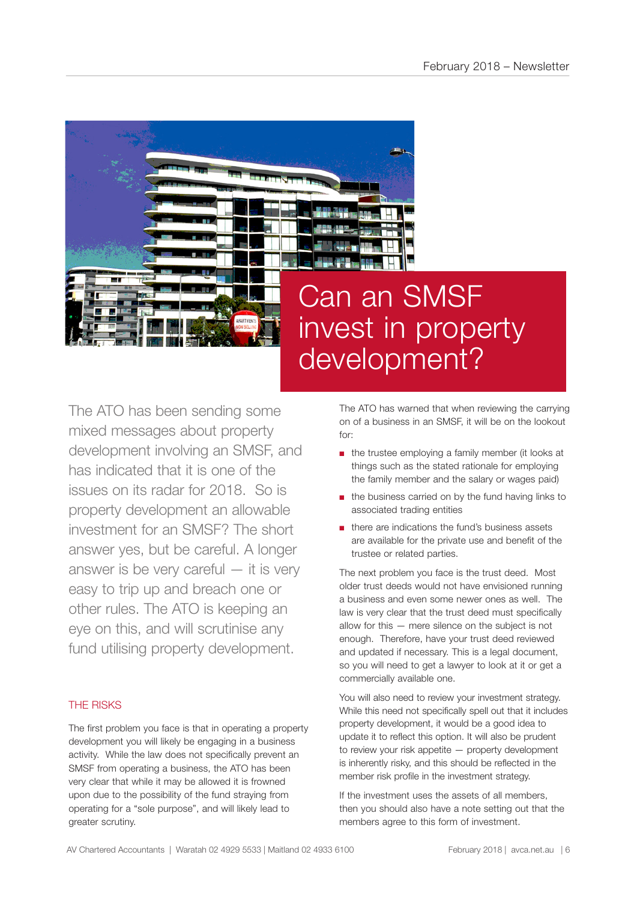

## Can an SMSF invest in property development?

The ATO has been sending some mixed messages about property development involving an SMSF, and has indicated that it is one of the issues on its radar for 2018. So is property development an allowable investment for an SMSF? The short answer yes, but be careful. A longer answer is be very careful — it is very easy to trip up and breach one or other rules. The ATO is keeping an eye on this, and will scrutinise any fund utilising property development.

#### THE RISKS

The first problem you face is that in operating a property development you will likely be engaging in a business activity. While the law does not specifically prevent an SMSF from operating a business, the ATO has been very clear that while it may be allowed it is frowned upon due to the possibility of the fund straying from operating for a "sole purpose", and will likely lead to greater scrutiny.

The ATO has warned that when reviewing the carrying on of a business in an SMSF, it will be on the lookout for:

- the trustee employing a family member (it looks at things such as the stated rationale for employing the family member and the salary or wages paid)
- the business carried on by the fund having links to associated trading entities
- there are indications the fund's business assets are available for the private use and benefit of the trustee or related parties.

The next problem you face is the trust deed. Most older trust deeds would not have envisioned running a business and even some newer ones as well. The law is very clear that the trust deed must specifically allow for this — mere silence on the subject is not enough. Therefore, have your trust deed reviewed and updated if necessary. This is a legal document, so you will need to get a lawyer to look at it or get a commercially available one.

You will also need to review your investment strategy. While this need not specifically spell out that it includes property development, it would be a good idea to update it to reflect this option. It will also be prudent to review your risk appetite — property development is inherently risky, and this should be reflected in the member risk profile in the investment strategy.

If the investment uses the assets of all members, then you should also have a note setting out that the members agree to this form of investment.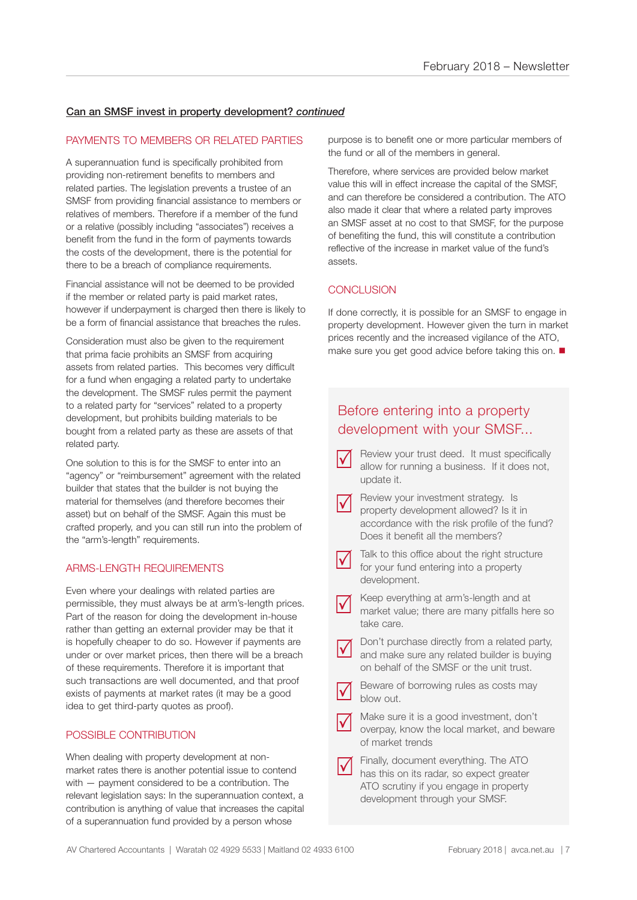#### Can an SMSF invest in property development? *continued*

#### PAYMENTS TO MEMBERS OR RELATED PARTIES

A superannuation fund is specifically prohibited from providing non-retirement benefits to members and related parties. The legislation prevents a trustee of an SMSF from providing financial assistance to members or relatives of members. Therefore if a member of the fund or a relative (possibly including "associates") receives a benefit from the fund in the form of payments towards the costs of the development, there is the potential for there to be a breach of compliance requirements.

Financial assistance will not be deemed to be provided if the member or related party is paid market rates, however if underpayment is charged then there is likely to be a form of financial assistance that breaches the rules.

Consideration must also be given to the requirement that prima facie prohibits an SMSF from acquiring assets from related parties. This becomes very difficult for a fund when engaging a related party to undertake the development. The SMSF rules permit the payment to a related party for "services" related to a property development, but prohibits building materials to be bought from a related party as these are assets of that related party.

One solution to this is for the SMSF to enter into an "agency" or "reimbursement" agreement with the related builder that states that the builder is not buying the material for themselves (and therefore becomes their asset) but on behalf of the SMSF. Again this must be crafted properly, and you can still run into the problem of the "arm's-length" requirements.

#### ARMS-LENGTH REQUIREMENTS

Even where your dealings with related parties are permissible, they must always be at arm's-length prices. Part of the reason for doing the development in-house rather than getting an external provider may be that it is hopefully cheaper to do so. However if payments are under or over market prices, then there will be a breach of these requirements. Therefore it is important that such transactions are well documented, and that proof exists of payments at market rates (it may be a good idea to get third-party quotes as proof).

#### POSSIBLE CONTRIBUTION

When dealing with property development at nonmarket rates there is another potential issue to contend with — payment considered to be a contribution. The relevant legislation says: In the superannuation context, a contribution is anything of value that increases the capital of a superannuation fund provided by a person whose

purpose is to benefit one or more particular members of the fund or all of the members in general.

Therefore, where services are provided below market value this will in effect increase the capital of the SMSF, and can therefore be considered a contribution. The ATO also made it clear that where a related party improves an SMSF asset at no cost to that SMSF, for the purpose of benefiting the fund, this will constitute a contribution reflective of the increase in market value of the fund's assets.

#### **CONCLUSION**

If done correctly, it is possible for an SMSF to engage in property development. However given the turn in market prices recently and the increased vigilance of the ATO, make sure you get good advice before taking this on.  $\blacksquare$ 

### Before entering into a property development with your SMSF...

- Review your trust deed. It must specifically allow for running a business. If it does not, update it.  $\Delta$
- Review your investment strategy. Is property development allowed? Is it in accordance with the risk profile of the fund? Does it benefit all the members?  $\Delta$
- Talk to this office about the right structure for your fund entering into a property development.  $\Delta$
- Keep everything at arm's-length and at market value; there are many pitfalls here so take care.  $\Delta$
- Don't purchase directly from a related party, and make sure any related builder is buying on behalf of the SMSF or the unit trust.  $\Delta$
- Beware of borrowing rules as costs may blow out.  $\Delta$
- Make sure it is a good investment, don't overpay, know the local market, and beware of market trends  $\Delta$
- Finally, document everything. The ATO has this on its radar, so expect greater ATO scrutiny if you engage in property development through your SMSF.  $\Delta$